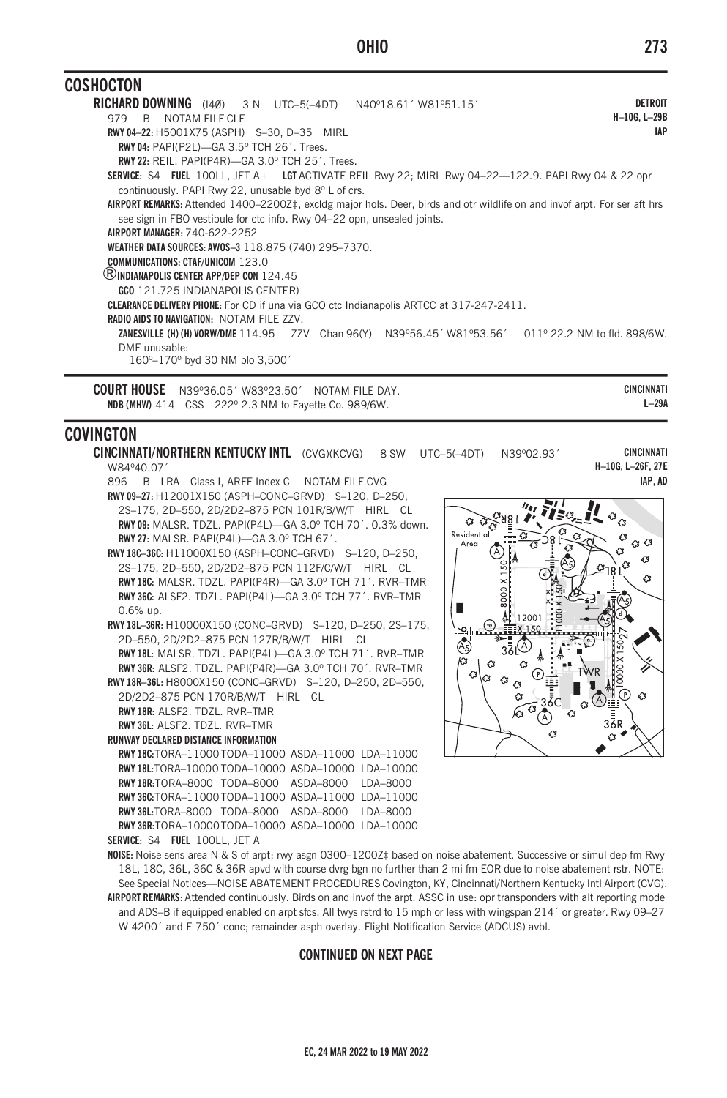## **OHIO**

| <b>CUSHUCTUN</b>                                                                                                                                                                                     |                                      |                                                                                                      |
|------------------------------------------------------------------------------------------------------------------------------------------------------------------------------------------------------|--------------------------------------|------------------------------------------------------------------------------------------------------|
| <b>RICHARD DOWNING</b> (14Ø) 3 N UTC-5(-4DT) N40°18.61' W81°51.15'                                                                                                                                   |                                      | <b>DETROIT</b>                                                                                       |
| B NOTAM FILE CLE<br>979                                                                                                                                                                              |                                      | H-10G. L-29B                                                                                         |
| RWY 04-22: H5001X75 (ASPH) S-30, D-35 MIRL                                                                                                                                                           |                                      | <b>IAP</b>                                                                                           |
| <b>RWY 04: PAPI(P2L)-GA 3.5° TCH 26'. Trees.</b>                                                                                                                                                     |                                      |                                                                                                      |
| RWY 22: REIL. PAPI(P4R)-GA 3.0° TCH 25'. Trees.                                                                                                                                                      |                                      |                                                                                                      |
| SERVICE: S4 FUEL 100LL, JET A+ LGT ACTIVATE REIL Rwy 22; MIRL Rwy 04-22-122.9. PAPI Rwy 04 & 22 opr<br>continuously. PAPI Rwy 22, unusable byd 8° L of crs.                                          |                                      |                                                                                                      |
| AIRPORT REMARKS: Attended 1400–2200Z‡, excldg major hols. Deer, birds and otr wildlife on and invof arpt. For ser aft hrs<br>see sign in FBO vestibule for ctc info. Rwy 04-22 opn, unsealed joints. |                                      |                                                                                                      |
| AIRPORT MANAGER: 740-622-2252                                                                                                                                                                        |                                      |                                                                                                      |
| WEATHER DATA SOURCES: AWOS-3 118.875 (740) 295-7370.                                                                                                                                                 |                                      |                                                                                                      |
| <b>COMMUNICATIONS: CTAF/UNICOM 123.0</b>                                                                                                                                                             |                                      |                                                                                                      |
| <b>(B) INDIANAPOLIS CENTER APP/DEP CON</b> 124.45                                                                                                                                                    |                                      |                                                                                                      |
| GCO 121.725 INDIANAPOLIS CENTER)                                                                                                                                                                     |                                      |                                                                                                      |
| <b>CLEARANCE DELIVERY PHONE:</b> For CD if una via GCO ctc Indianapolis ARTCC at 317-247-2411.                                                                                                       |                                      |                                                                                                      |
| <b>RADIO AIDS TO NAVIGATION: NOTAM FILE 77V.</b>                                                                                                                                                     |                                      |                                                                                                      |
|                                                                                                                                                                                                      |                                      | ZANESVILLE (H) (H) VORW/DME 114.95 ZZV Chan 96(Y) N39°56.45' W81°53.56' 011° 22.2 NM to fld. 898/6W. |
| DMF unusable:<br>160°-170° byd 30 NM blo 3,500'                                                                                                                                                      |                                      |                                                                                                      |
| COURT HOUSE                                                                                                                                                                                          | N39º36 05' W83º23 50' NOTAM FILE DAY | <b>CINCINNATI</b>                                                                                    |

 $L-29A$ NDB (MHW) 414 CSS 222° 2.3 NM to Fayette Co. 989/6W.

## **COVINGTON**

 $\overline{\phantom{a}}$ 

CINCINNATI/NORTHERN KENTUCKY INTL (CVG)(KCVG) 8 SW UTC-5(-4DT) N39°02.93' W84°40.07

- 896 B LRA Class I, ARFF Index C NOTAM FILE CVG RWY 09-27: H12001X150 (ASPH-CONC-GRVD) S-120, D-250, 2S-175, 2D-550, 2D/2D2-875 PCN 101R/B/W/T HIRL CL RWY 09: MALSR, TDZL, PAPI(P4L)-GA 3.0° TCH 70', 0.3% down. RWY 27: MALSR. PAPI(P4L)-GA 3.0° TCH 67'.
- RWY18C-36C: H11000X150 (ASPH-CONC-GRVD) S-120, D-250. 2S-175, 2D-550, 2D/2D2-875 PCN 112F/C/W/T HIRL CL RWY18C: MALSR. TDZL. PAPI(P4R)-GA 3.0° TCH 71'. RVR-TMR RWY 36C: ALSF2. TDZL. PAPI(P4L)-GA 3.0° TCH 77'. RVR-TMR  $0.6%$  un
- RWY 18L-36R: H10000X150 (CONC-GRVD) S-120, D-250, 2S-175, 2D-550, 2D/2D2-875 PCN 127R/B/W/T HIRL CL RWY 18L: MALSR. TDZL. PAPI(P4L)-GA 3.0° TCH 71'. RVR-TMR RWY 36R: ALSF2. TDZL. PAPI(P4R)-GA 3.0° TCH 70'. RVR-TMR

RWY 18R-36L: H8000X150 (CONC-GRVD) S-120, D-250, 2D-550, 2D/2D2-875 PCN 170R/B/W/T HIRL CL

RWY 18R: ALSF2. TDZL. RVR-TMR RWY 36L: ALSF2, TDZL, RVR-TMR

**RUNWAY DECLARED DISTANCE INFORMATION** 

RWY18C:TORA-11000TODA-11000 ASDA-11000 LDA-11000 RWY 18L:TORA-10000 TODA-10000 ASDA-10000 LDA-10000 RWY18R:TORA-8000 TODA-8000 ASDA-8000 LDA-8000 RWY 36C: TORA-11000 TODA-11000 ASDA-11000 LDA-11000 RWY 36L:TORA-8000 TODA-8000 ASDA-8000 LDA-8000 RWY 36R:TORA-10000 TODA-10000 ASDA-10000 LDA-10000

SERVICE: S4 FUEL 100LL, JET A

 $n_{\rm H}$ ୍ୟୁ  $\sigma$  $\alpha$ Residential  $\alpha$   $\alpha$  $Area$ Ò Ò 12001 Æ Ó  $\bigcirc$  $\alpha$ 

NOISE: Noise sens area N & S of arpt; rwy asgn 0300-1200Z‡ based on noise abatement. Successive or simul dep fm Rwy 18L, 18C, 36L, 36C & 36R apvd with course dvrg bgn no further than 2 mi fm EOR due to noise abatement rstr. NOTE: See Special Notices-NOISE ABATEMENT PROCEDURES Covington, KY, Cincinnati/Northern Kentucky Intl Airport (CVG). AIRPORT REMARKS: Attended continuously. Birds on and invof the arpt. ASSC in use: opr transponders with alt reporting mode and ADS-B if equipped enabled on arpt sfcs. All twys rstrd to 15 mph or less with wingspan 214' or greater. Rwy 09-27

**CONTINUED ON NEXT PAGE** 

W 4200' and E 750' conc; remainder asph overlay. Flight Notification Service (ADCUS) avbl.

**CINCINNATI** 

H-10G, L-26F, 27E IAP. AD